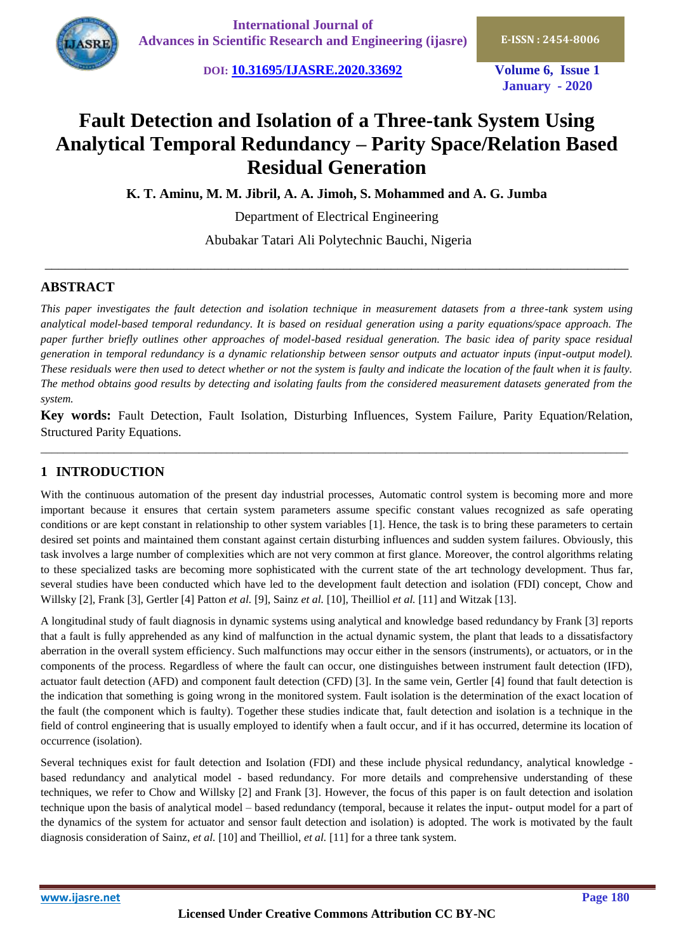**DOI: [10.31695/IJASRE.2020.33692](http://doi.org/10.31695/IJASRE.2020.33692) Volume 6, Issue 1**

**January - 2020**

# **Fault Detection and Isolation of a Three-tank System Using Analytical Temporal Redundancy – Parity Space/Relation Based Residual Generation**

**K. T. Aminu, M. M. Jibril, A. A. Jimoh, S. Mohammed and A. G. Jumba**

Department of Electrical Engineering

Abubakar Tatari Ali Polytechnic Bauchi, Nigeria

\_\_\_\_\_\_\_\_\_\_\_\_\_\_\_\_\_\_\_\_\_\_\_\_\_\_\_\_\_\_\_\_\_\_\_\_\_\_\_\_\_\_\_\_\_\_\_\_\_\_\_\_\_\_\_\_\_\_\_\_\_\_\_\_\_\_\_\_\_\_\_\_\_\_\_\_\_\_\_\_\_\_\_\_\_\_

# **ABSTRACT**

*This paper investigates the fault detection and isolation technique in measurement datasets from a three-tank system using analytical model-based temporal redundancy. It is based on residual generation using a parity equations/space approach. The*  paper further briefly outlines other approaches of model-based residual generation. The basic idea of parity space residual *generation in temporal redundancy is a dynamic relationship between sensor outputs and actuator inputs (input-output model). These residuals were then used to detect whether or not the system is faulty and indicate the location of the fault when it is faulty. The method obtains good results by detecting and isolating faults from the considered measurement datasets generated from the system.*

**Key words:** Fault Detection, Fault Isolation, Disturbing Influences, System Failure, Parity Equation/Relation, Structured Parity Equations.

\_\_\_\_\_\_\_\_\_\_\_\_\_\_\_\_\_\_\_\_\_\_\_\_\_\_\_\_\_\_\_\_\_\_\_\_\_\_\_\_\_\_\_\_\_\_\_\_\_\_\_\_\_\_\_\_\_\_\_\_\_\_\_\_\_\_\_\_\_\_\_\_\_\_\_\_\_\_\_\_\_\_\_\_\_\_\_\_\_\_\_\_\_\_\_\_\_\_\_\_\_\_\_\_

# **1 INTRODUCTION**

With the continuous automation of the present day industrial processes, Automatic control system is becoming more and more important because it ensures that certain system parameters assume specific constant values recognized as safe operating conditions or are kept constant in relationship to other system variables [1]. Hence, the task is to bring these parameters to certain desired set points and maintained them constant against certain disturbing influences and sudden system failures. Obviously, this task involves a large number of complexities which are not very common at first glance. Moreover, the control algorithms relating to these specialized tasks are becoming more sophisticated with the current state of the art technology development. Thus far, several studies have been conducted which have led to the development fault detection and isolation (FDI) concept, Chow and Willsky [2], Frank [3], Gertler [4] Patton *et al.* [9], Sainz *et al.* [10], Theilliol *et al.* [11] and Witzak [13].

A longitudinal study of fault diagnosis in dynamic systems using analytical and knowledge based redundancy by Frank [3] reports that a fault is fully apprehended as any kind of malfunction in the actual dynamic system, the plant that leads to a dissatisfactory aberration in the overall system efficiency. Such malfunctions may occur either in the sensors (instruments), or actuators, or in the components of the process. Regardless of where the fault can occur, one distinguishes between instrument fault detection (IFD), actuator fault detection (AFD) and component fault detection (CFD) [3]. In the same vein, Gertler [4] found that fault detection is the indication that something is going wrong in the monitored system. Fault isolation is the determination of the exact location of the fault (the component which is faulty). Together these studies indicate that, fault detection and isolation is a technique in the field of control engineering that is usually employed to identify when a fault occur, and if it has occurred, determine its location of occurrence (isolation).

Several techniques exist for fault detection and Isolation (FDI) and these include physical redundancy, analytical knowledge based redundancy and analytical model - based redundancy. For more details and comprehensive understanding of these techniques, we refer to Chow and Willsky [2] and Frank [3]. However, the focus of this paper is on fault detection and isolation technique upon the basis of analytical model – based redundancy (temporal, because it relates the input- output model for a part of the dynamics of the system for actuator and sensor fault detection and isolation) is adopted. The work is motivated by the fault diagnosis consideration of Sainz, *et al.* [10] and Theilliol, *et al.* [11] for a three tank system.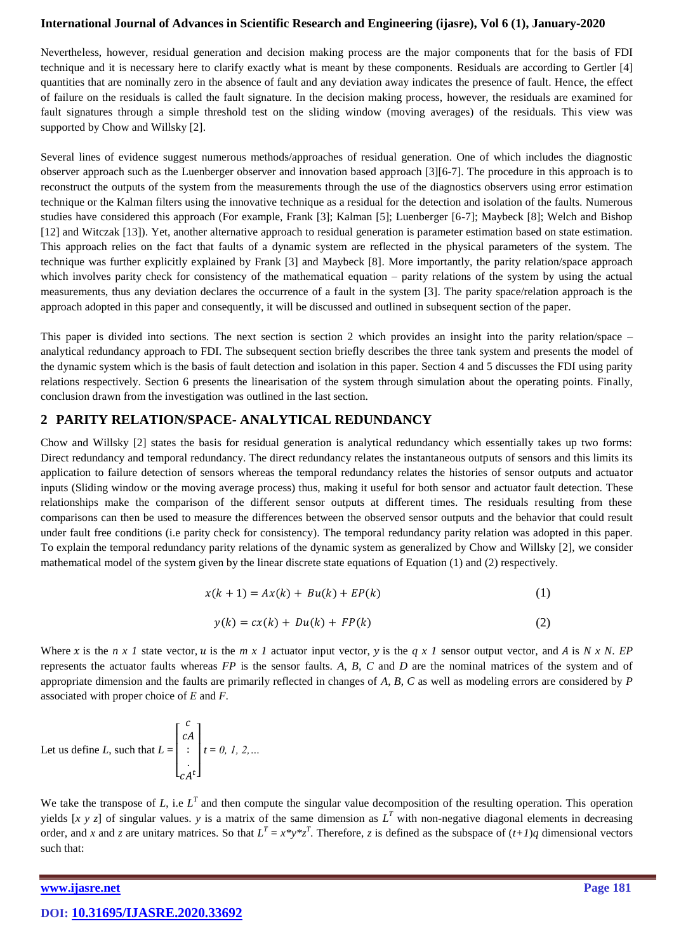Nevertheless, however, residual generation and decision making process are the major components that for the basis of FDI technique and it is necessary here to clarify exactly what is meant by these components. Residuals are according to Gertler [4] quantities that are nominally zero in the absence of fault and any deviation away indicates the presence of fault. Hence, the effect of failure on the residuals is called the fault signature. In the decision making process, however, the residuals are examined for fault signatures through a simple threshold test on the sliding window (moving averages) of the residuals. This view was supported by Chow and Willsky [2].

Several lines of evidence suggest numerous methods/approaches of residual generation. One of which includes the diagnostic observer approach such as the Luenberger observer and innovation based approach [3][6-7]. The procedure in this approach is to reconstruct the outputs of the system from the measurements through the use of the diagnostics observers using error estimation technique or the Kalman filters using the innovative technique as a residual for the detection and isolation of the faults. Numerous studies have considered this approach (For example, Frank [3]; Kalman [5]; Luenberger [6-7]; Maybeck [8]; Welch and Bishop [12] and Witczak [13]). Yet, another alternative approach to residual generation is parameter estimation based on state estimation. This approach relies on the fact that faults of a dynamic system are reflected in the physical parameters of the system. The technique was further explicitly explained by Frank [3] and Maybeck [8]. More importantly, the parity relation/space approach which involves parity check for consistency of the mathematical equation – parity relations of the system by using the actual measurements, thus any deviation declares the occurrence of a fault in the system [3]. The parity space/relation approach is the approach adopted in this paper and consequently, it will be discussed and outlined in subsequent section of the paper.

This paper is divided into sections. The next section is section 2 which provides an insight into the parity relation/space  $$ analytical redundancy approach to FDI. The subsequent section briefly describes the three tank system and presents the model of the dynamic system which is the basis of fault detection and isolation in this paper. Section 4 and 5 discusses the FDI using parity relations respectively. Section 6 presents the linearisation of the system through simulation about the operating points. Finally, conclusion drawn from the investigation was outlined in the last section.

## **2 PARITY RELATION/SPACE- ANALYTICAL REDUNDANCY**

Chow and Willsky [2] states the basis for residual generation is analytical redundancy which essentially takes up two forms: Direct redundancy and temporal redundancy. The direct redundancy relates the instantaneous outputs of sensors and this limits its application to failure detection of sensors whereas the temporal redundancy relates the histories of sensor outputs and actuator inputs (Sliding window or the moving average process) thus, making it useful for both sensor and actuator fault detection. These relationships make the comparison of the different sensor outputs at different times. The residuals resulting from these comparisons can then be used to measure the differences between the observed sensor outputs and the behavior that could result under fault free conditions (i.e parity check for consistency). The temporal redundancy parity relation was adopted in this paper. To explain the temporal redundancy parity relations of the dynamic system as generalized by Chow and Willsky [2], we consider mathematical model of the system given by the linear discrete state equations of Equation (1) and (2) respectively.

$$
x(k+1) = Ax(k) + Bu(k) + EP(k)
$$
\n<sup>(1)</sup>

$$
y(k) = cx(k) + Du(k) + FP(k)
$$
\n(2)

Where x is the *n x 1* state vector, u is the *m x 1* actuator input vector, y is the *q x 1* sensor output vector, and A is N x N. EP represents the actuator faults whereas *FP* is the sensor faults. *A*, *B*, *C* and *D* are the nominal matrices of the system and of appropriate dimension and the faults are primarily reflected in changes of *A*, *B*, *C* as well as modeling errors are considered by *P* associated with proper choice of *E* and *F*.

Let us define  $L$ , such that  $L =$  $\overline{a}$ I I I ł  $\mathcal{C}_{0}^{(n)}$  $\mathcal{C}$  $\ddot{\cdot}$ .  $\mathcal{C}$  $t$  $\overline{\phantom{a}}$  $\mathbf{I}$ I  $\overline{\phantom{a}}$ *t* = *0, 1, 2,…*

We take the transpose of  $L$ , i.e  $L^T$  and then compute the singular value decomposition of the resulting operation. This operation yields [x y z] of singular values. y is a matrix of the same dimension as  $L^T$  with non-negative diagonal elements in decreasing order, and *x* and *z* are unitary matrices. So that  $L^T = x^*y^*z^T$ . Therefore, *z* is defined as the subspace of  $(t+1)q$  dimensional vectors such that:

**[www.ijasre.net](file:///E:/ijasre-19/vol%205-5/published%20papers/www.ijasre.net)** Page 181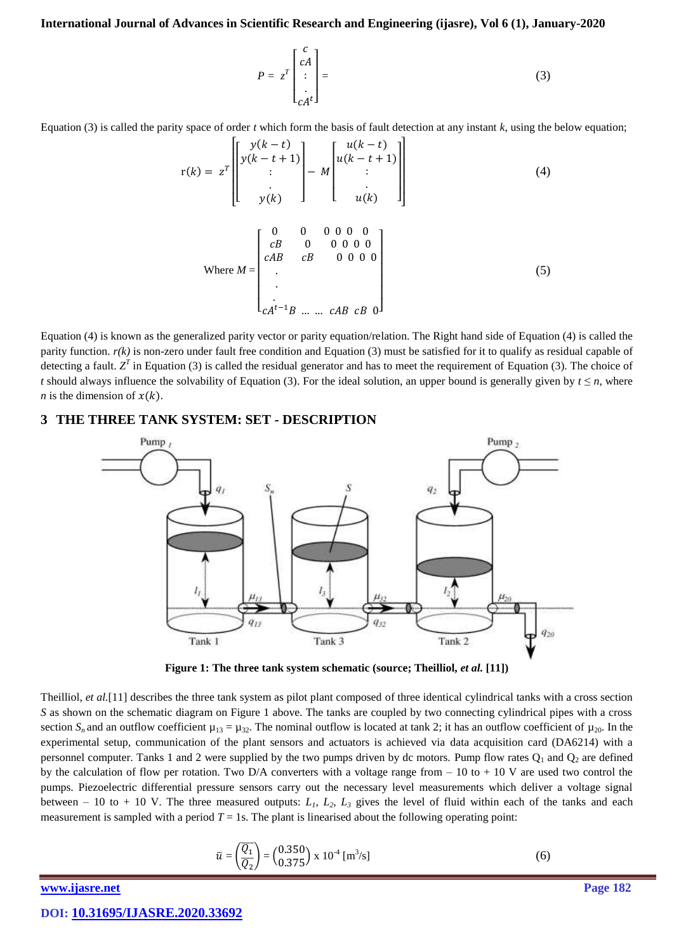$$
P = z^T \begin{bmatrix} c \\ cA \\ \vdots \\ cA^t \end{bmatrix} =
$$
 (3)

Equation (3) is called the parity space of order  $t$  which form the basis of fault detection at any instant  $k$ , using the below equation;

$$
r(k) = z^{T} \begin{bmatrix} y(k-t) \\ y(k-t+1) \\ \vdots \\ y(k) \end{bmatrix} - M \begin{bmatrix} u(k-t) \\ u(k-t+1) \\ \vdots \\ u(k) \end{bmatrix}
$$
(4)  
Where  $M = \begin{bmatrix} 0 & 0 & 0 & 0 & 0 & 0 \\ cB & 0 & 0 & 0 & 0 & 0 \\ cAB & cB & 0 & 0 & 0 & 0 \\ \vdots & & & & \\ cA^{t-1}B & \dots & cAB & cB & 0 \end{bmatrix}$ (5)

Equation (4) is known as the generalized parity vector or parity equation/relation. The Right hand side of Equation (4) is called the parity function.  $r(k)$  is non-zero under fault free condition and Equation (3) must be satisfied for it to qualify as residual capable of detecting a fault.  $Z<sup>T</sup>$  in Equation (3) is called the residual generator and has to meet the requirement of Equation (3). The choice of *t* should always influence the solvability of Equation (3). For the ideal solution, an upper bound is generally given by  $t \le n$ , where *n* is the dimension of  $x(k)$ .

## **3 THE THREE TANK SYSTEM: SET - DESCRIPTION**



**Figure 1: The three tank system schematic (source; Theilliol,** *et al.* **[11])**

Theilliol, *et al.*[11] describes the three tank system as pilot plant composed of three identical cylindrical tanks with a cross section *S* as shown on the schematic diagram on Figure 1 above. The tanks are coupled by two connecting cylindrical pipes with a cross section  $S_n$  and an outflow coefficient  $\mu_{13} = \mu_{32}$ . The nominal outflow is located at tank 2; it has an outflow coefficient of  $\mu_{20}$ . In the experimental setup, communication of the plant sensors and actuators is achieved via data acquisition card (DA6214) with a personnel computer. Tanks 1 and 2 were supplied by the two pumps driven by dc motors. Pump flow rates  $Q_1$  and  $Q_2$  are defined by the calculation of flow per rotation. Two D/A converters with a voltage range from  $-10$  to  $+10$  V are used two control the pumps. Piezoelectric differential pressure sensors carry out the necessary level measurements which deliver a voltage signal between – 10 to + 10 V. The three measured outputs:  $L_1$ ,  $L_2$ ,  $L_3$  gives the level of fluid within each of the tanks and each measurement is sampled with a period  $T = 1s$ . The plant is linearised about the following operating point:

$$
\bar{u} = \left(\frac{\overline{Q_1}}{\overline{Q_2}}\right) = \left(\frac{0.350}{0.375}\right) \times 10^{-4} \,[\text{m}^3/\text{s}] \tag{6}
$$

*[www.ijasre.net](file:///E:/ijasre-19/vol%205-5/published%20papers/www.ijasre.net)* Page 182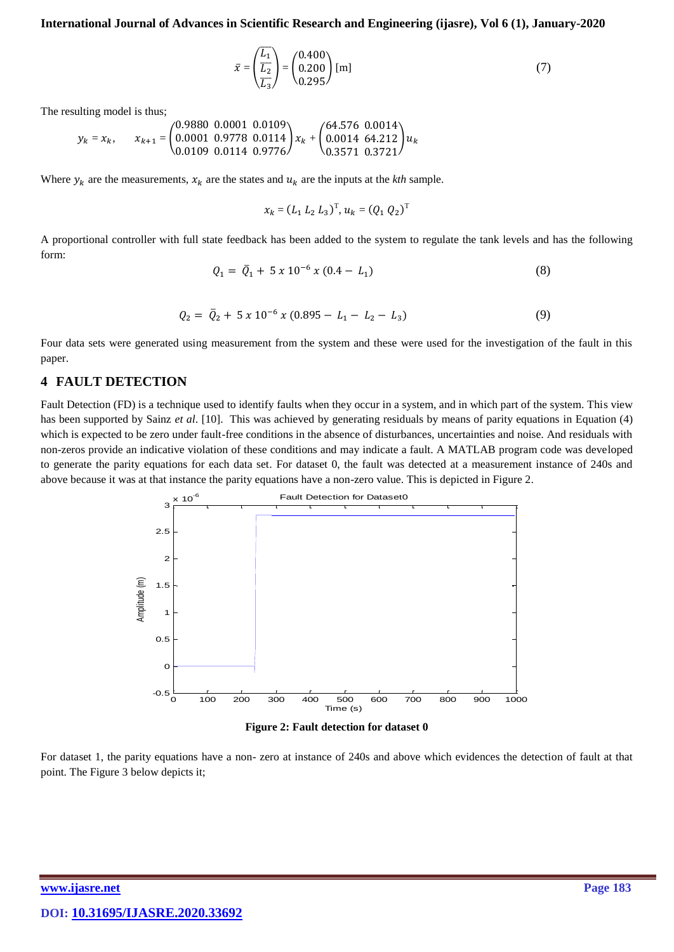$$
\bar{x} = \left(\frac{\overline{L_1}}{\overline{L_2}}\right) = \left(\begin{array}{c} 0.400\\0.200\\0.295 \end{array}\right) \text{ [m]}
$$
\n(7)

The resulting model is thus;

$$
y_k = x_k, \qquad x_{k+1} = \begin{pmatrix} 0.9880 & 0.0001 & 0.0109 \\ 0.0001 & 0.9778 & 0.0114 \\ 0.0109 & 0.0114 & 0.9776 \end{pmatrix} x_k + \begin{pmatrix} 64.576 & 0.0014 \\ 0.0014 & 64.212 \\ 0.3571 & 0.3721 \end{pmatrix} u_k
$$

Where  $y_k$  are the measurements,  $x_k$  are the states and  $u_k$  are the inputs at the *kth* sample.

$$
x_k = (L_1 L_2 L_3)^{\mathrm{T}}, u_k = (Q_1 Q_2)^{\mathrm{T}}
$$

A proportional controller with full state feedback has been added to the system to regulate the tank levels and has the following form:

$$
Q_1 = \bar{Q}_1 + 5 \, x \, 10^{-6} \, x \, (0.4 - L_1) \tag{8}
$$

$$
Q_2 = \bar{Q}_2 + 5 \times 10^{-6} \times (0.895 - L_1 - L_2 - L_3) \tag{9}
$$

Four data sets were generated using measurement from the system and these were used for the investigation of the fault in this paper.

#### **4 FAULT DETECTION**

Fault Detection (FD) is a technique used to identify faults when they occur in a system, and in which part of the system. This view has been supported by Sainz *et al*. [10]. This was achieved by generating residuals by means of parity equations in Equation (4) which is expected to be zero under fault-free conditions in the absence of disturbances, uncertainties and noise. And residuals with non-zeros provide an indicative violation of these conditions and may indicate a fault. A MATLAB program code was developed to generate the parity equations for each data set. For dataset 0, the fault was detected at a measurement instance of 240s and above because it was at that instance the parity equations have a non-zero value. This is depicted in Figure 2.



**Figure 2: Fault detection for dataset 0**

For dataset 1, the parity equations have a non- zero at instance of 240s and above which evidences the detection of fault at that point. The Figure 3 below depicts it;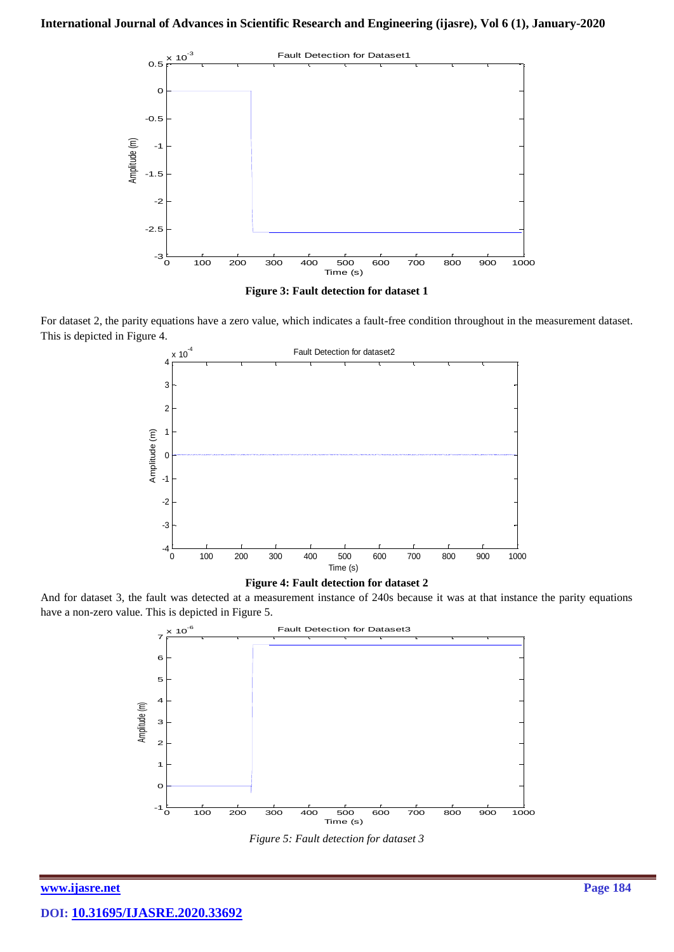

**Figure 3: Fault detection for dataset 1**

For dataset 2, the parity equations have a zero value, which indicates a fault-free condition throughout in the measurement dataset. This is depicted in Figure 4.





And for dataset 3, the fault was detected at a measurement instance of 240s because it was at that instance the parity equations have a non-zero value. This is depicted in Figure 5.



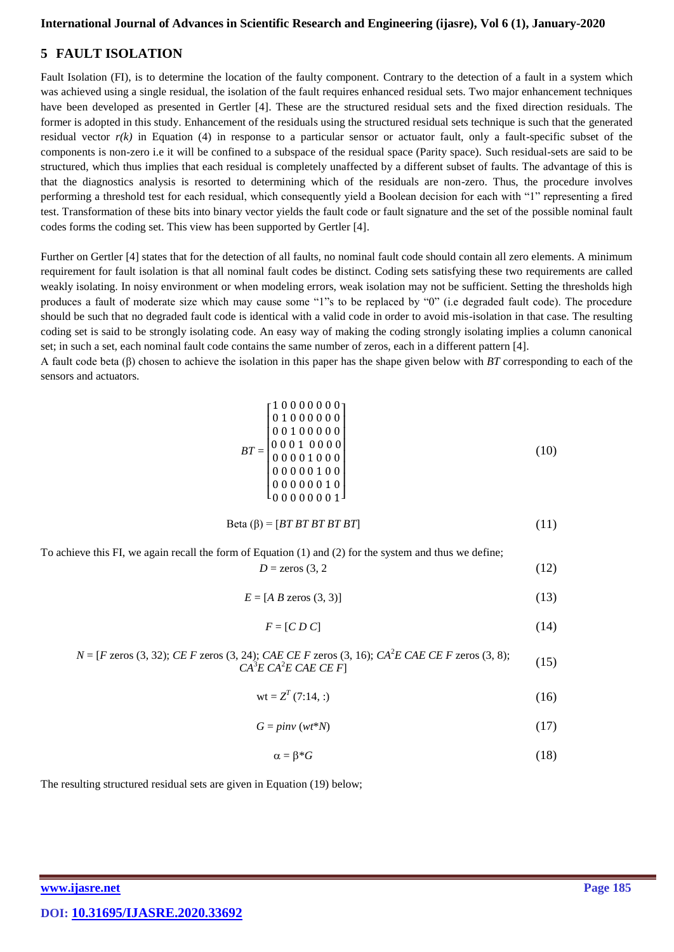# **5 FAULT ISOLATION**

Fault Isolation (FI), is to determine the location of the faulty component. Contrary to the detection of a fault in a system which was achieved using a single residual, the isolation of the fault requires enhanced residual sets. Two major enhancement techniques have been developed as presented in Gertler [4]. These are the structured residual sets and the fixed direction residuals. The former is adopted in this study. Enhancement of the residuals using the structured residual sets technique is such that the generated residual vector  $r(k)$  in Equation (4) in response to a particular sensor or actuator fault, only a fault-specific subset of the components is non-zero i.e it will be confined to a subspace of the residual space (Parity space). Such residual-sets are said to be structured, which thus implies that each residual is completely unaffected by a different subset of faults. The advantage of this is that the diagnostics analysis is resorted to determining which of the residuals are non-zero. Thus, the procedure involves performing a threshold test for each residual, which consequently yield a Boolean decision for each with "1" representing a fired test. Transformation of these bits into binary vector yields the fault code or fault signature and the set of the possible nominal fault codes forms the coding set. This view has been supported by Gertler [4].

Further on Gertler [4] states that for the detection of all faults, no nominal fault code should contain all zero elements. A minimum requirement for fault isolation is that all nominal fault codes be distinct. Coding sets satisfying these two requirements are called weakly isolating. In noisy environment or when modeling errors, weak isolation may not be sufficient. Setting the thresholds high produces a fault of moderate size which may cause some "1"s to be replaced by "0" (i.e degraded fault code). The procedure should be such that no degraded fault code is identical with a valid code in order to avoid mis-isolation in that case. The resulting coding set is said to be strongly isolating code. An easy way of making the coding strongly isolating implies a column canonical set; in such a set, each nominal fault code contains the same number of zeros, each in a different pattern [4].

A fault code beta (β) chosen to achieve the isolation in this paper has the shape given below with *BT* corresponding to each of the sensors and actuators.

$$
BT = \begin{bmatrix} 1 & 0 & 0 & 0 & 0 & 0 & 0 \\ 0 & 1 & 0 & 0 & 0 & 0 & 0 & 0 \\ 0 & 0 & 1 & 0 & 0 & 0 & 0 & 0 \\ 0 & 0 & 0 & 1 & 0 & 0 & 0 & 0 \\ 0 & 0 & 0 & 0 & 1 & 0 & 0 & 0 \\ 0 & 0 & 0 & 0 & 0 & 1 & 0 & 0 \\ 0 & 0 & 0 & 0 & 0 & 0 & 1 & 0 \end{bmatrix}
$$
(10)  
Beta ( $\beta$ ) = [*BT BT BT BT*

To achieve this FI, we again recall the form of Equation (1) and (2) for the system and thus we define;  $D = \text{zeros} (3, 2)$  (12)

 $E = [A \ B \ zeros (3, 3)]$  (13)

$$
F = [C D C] \tag{14}
$$

$$
N = [F \text{ zeros } (3, 32); CE \ F \text{ zeros } (3, 24); CAE \ CE \ F \text{ zeros } (3, 16); CA^2E \ CE \ F \text{ zeros } (3, 8);
$$
  

$$
CA^3E \ CE \ CE \ F]
$$
 (15)

$$
wt = Z^{T}(7:14,:)
$$
 (16)

$$
G = \text{pinv}(wt^*N) \tag{17}
$$

$$
\alpha = \beta^* G \tag{18}
$$

The resulting structured residual sets are given in Equation (19) below;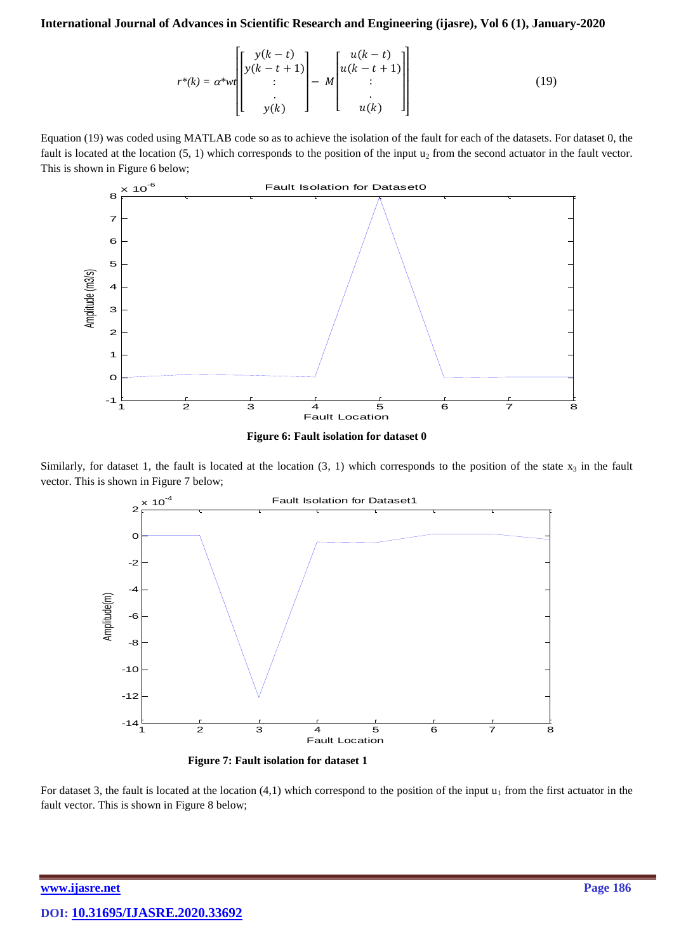$$
r^*(k) = \alpha^* w t \begin{bmatrix} y(k-t) \\ y(k-t+1) \\ \vdots \\ y(k) \end{bmatrix} - M \begin{bmatrix} u(k-t) \\ u(k-t+1) \\ \vdots \\ u(k) \end{bmatrix}
$$
 (19)

Equation (19) was coded using MATLAB code so as to achieve the isolation of the fault for each of the datasets. For dataset 0, the fault is located at the location  $(5, 1)$  which corresponds to the position of the input  $u_2$  from the second actuator in the fault vector. This is shown in Figure 6 below;



**Figure 6: Fault isolation for dataset 0**

Similarly, for dataset 1, the fault is located at the location  $(3, 1)$  which corresponds to the position of the state  $x_3$  in the fault vector. This is shown in Figure 7 below;



**Figure 7: Fault isolation for dataset 1**

For dataset 3, the fault is located at the location  $(4,1)$  which correspond to the position of the input  $u_1$  from the first actuator in the fault vector. This is shown in Figure 8 below;